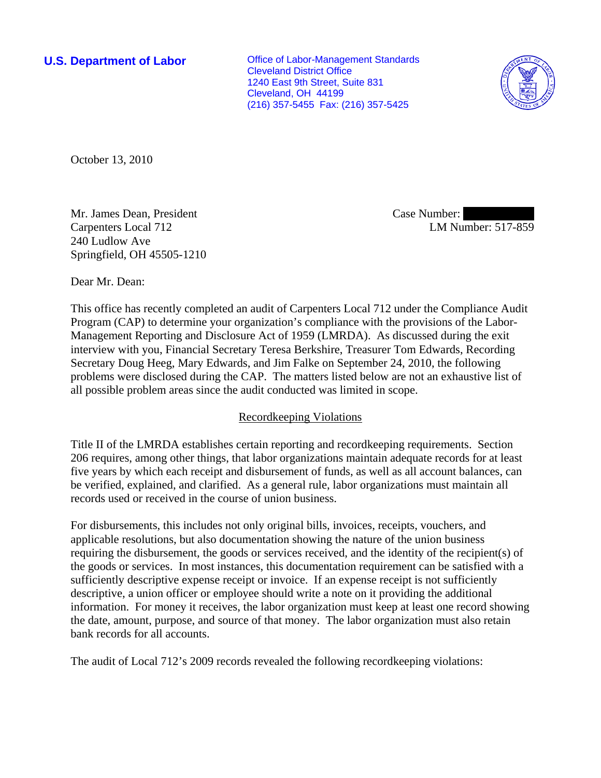**U.S. Department of Labor Conservative Conservative Conservative Conservative Conservative Conservative Conservative Conservative Conservative Conservative Conservative Conservative Conservative Conservative Conservative** Cleveland District Office 1240 East 9th Street, Suite 831 Cleveland, OH 44199 (216) 357-5455 Fax: (216) 357-5425



October 13, 2010

Mr. James Dean, President Carpenters Local 712 240 Ludlow Ave Springfield, OH 45505-1210 Case Number: LM Number: 517-859

Dear Mr. Dean:

This office has recently completed an audit of Carpenters Local 712 under the Compliance Audit Program (CAP) to determine your organization's compliance with the provisions of the Labor-Management Reporting and Disclosure Act of 1959 (LMRDA). As discussed during the exit interview with you, Financial Secretary Teresa Berkshire, Treasurer Tom Edwards, Recording Secretary Doug Heeg, Mary Edwards, and Jim Falke on September 24, 2010, the following problems were disclosed during the CAP. The matters listed below are not an exhaustive list of all possible problem areas since the audit conducted was limited in scope.

# Recordkeeping Violations

Title II of the LMRDA establishes certain reporting and recordkeeping requirements. Section 206 requires, among other things, that labor organizations maintain adequate records for at least five years by which each receipt and disbursement of funds, as well as all account balances, can be verified, explained, and clarified. As a general rule, labor organizations must maintain all records used or received in the course of union business.

For disbursements, this includes not only original bills, invoices, receipts, vouchers, and applicable resolutions, but also documentation showing the nature of the union business requiring the disbursement, the goods or services received, and the identity of the recipient(s) of the goods or services. In most instances, this documentation requirement can be satisfied with a sufficiently descriptive expense receipt or invoice. If an expense receipt is not sufficiently descriptive, a union officer or employee should write a note on it providing the additional information. For money it receives, the labor organization must keep at least one record showing the date, amount, purpose, and source of that money. The labor organization must also retain bank records for all accounts.

The audit of Local 712's 2009 records revealed the following recordkeeping violations: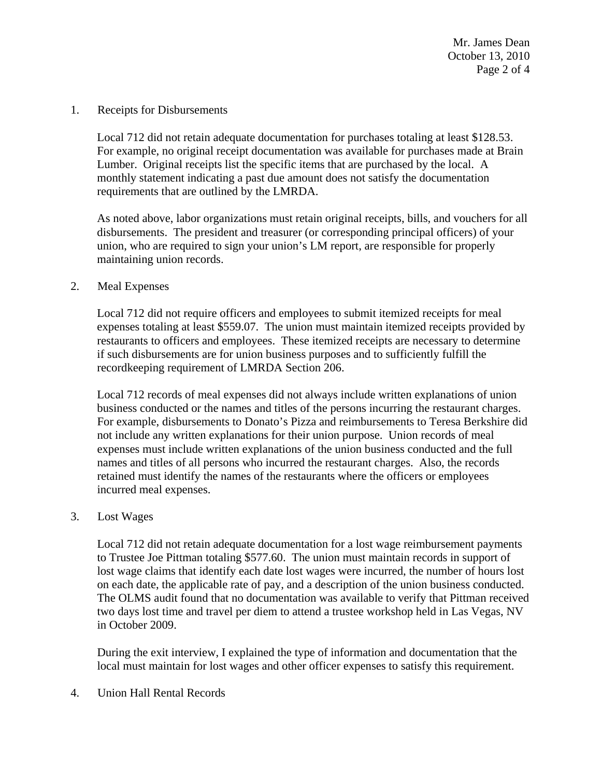Mr. James Dean October 13, 2010 Page 2 of 4

1. Receipts for Disbursements

Local 712 did not retain adequate documentation for purchases totaling at least \$128.53. For example, no original receipt documentation was available for purchases made at Brain Lumber. Original receipts list the specific items that are purchased by the local. A monthly statement indicating a past due amount does not satisfy the documentation requirements that are outlined by the LMRDA.

As noted above, labor organizations must retain original receipts, bills, and vouchers for all disbursements. The president and treasurer (or corresponding principal officers) of your union, who are required to sign your union's LM report, are responsible for properly maintaining union records.

## 2. Meal Expenses

Local 712 did not require officers and employees to submit itemized receipts for meal expenses totaling at least \$559.07. The union must maintain itemized receipts provided by restaurants to officers and employees. These itemized receipts are necessary to determine if such disbursements are for union business purposes and to sufficiently fulfill the recordkeeping requirement of LMRDA Section 206.

Local 712 records of meal expenses did not always include written explanations of union business conducted or the names and titles of the persons incurring the restaurant charges. For example, disbursements to Donato's Pizza and reimbursements to Teresa Berkshire did not include any written explanations for their union purpose. Union records of meal expenses must include written explanations of the union business conducted and the full names and titles of all persons who incurred the restaurant charges. Also, the records retained must identify the names of the restaurants where the officers or employees incurred meal expenses.

## 3. Lost Wages

Local 712 did not retain adequate documentation for a lost wage reimbursement payments to Trustee Joe Pittman totaling \$577.60. The union must maintain records in support of lost wage claims that identify each date lost wages were incurred, the number of hours lost on each date, the applicable rate of pay, and a description of the union business conducted. The OLMS audit found that no documentation was available to verify that Pittman received two days lost time and travel per diem to attend a trustee workshop held in Las Vegas, NV in October 2009.

During the exit interview, I explained the type of information and documentation that the local must maintain for lost wages and other officer expenses to satisfy this requirement.

4. Union Hall Rental Records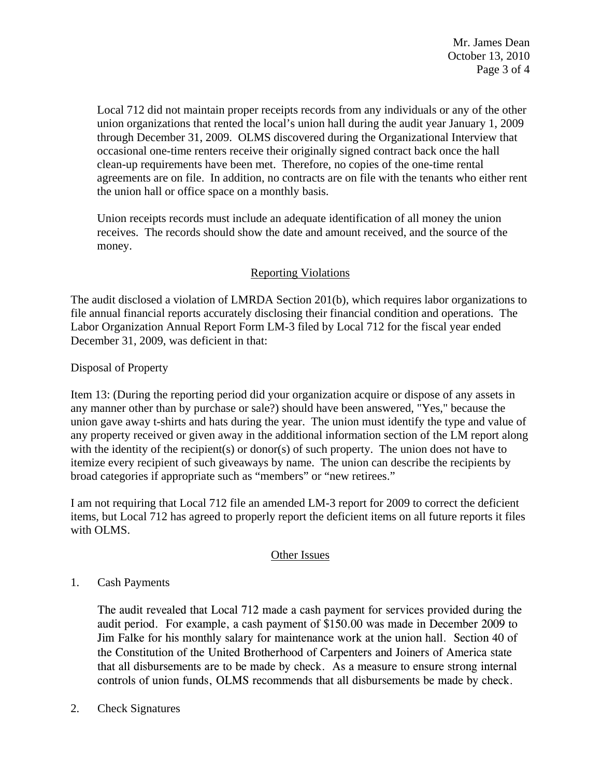Mr. James Dean October 13, 2010 Page 3 of 4

Local 712 did not maintain proper receipts records from any individuals or any of the other union organizations that rented the local's union hall during the audit year January 1, 2009 through December 31, 2009. OLMS discovered during the Organizational Interview that occasional one-time renters receive their originally signed contract back once the hall clean-up requirements have been met. Therefore, no copies of the one-time rental agreements are on file. In addition, no contracts are on file with the tenants who either rent the union hall or office space on a monthly basis.

Union receipts records must include an adequate identification of all money the union receives. The records should show the date and amount received, and the source of the money.

# Reporting Violations

The audit disclosed a violation of LMRDA Section 201(b), which requires labor organizations to file annual financial reports accurately disclosing their financial condition and operations. The Labor Organization Annual Report Form LM-3 filed by Local 712 for the fiscal year ended December 31, 2009, was deficient in that:

Disposal of Property

Item 13: (During the reporting period did your organization acquire or dispose of any assets in any manner other than by purchase or sale?) should have been answered, "Yes," because the union gave away t-shirts and hats during the year. The union must identify the type and value of any property received or given away in the additional information section of the LM report along with the identity of the recipient(s) or donor(s) of such property. The union does not have to itemize every recipient of such giveaways by name. The union can describe the recipients by broad categories if appropriate such as "members" or "new retirees."

I am not requiring that Local 712 file an amended LM-3 report for 2009 to correct the deficient items, but Local 712 has agreed to properly report the deficient items on all future reports it files with OLMS.

## Other Issues

## 1. Cash Payments

The audit revealed that Local 712 made a cash payment for services provided during the audit period. For example, a cash payment of \$150.00 was made in December 2009 to Jim Falke for his monthly salary for maintenance work at the union hall. Section 40 of the Constitution of the United Brotherhood of Carpenters and Joiners of America state that all disbursements are to be made by check. As a measure to ensure strong internal controls of union funds, OLMS recommends that all disbursements be made by check.

2. Check Signatures